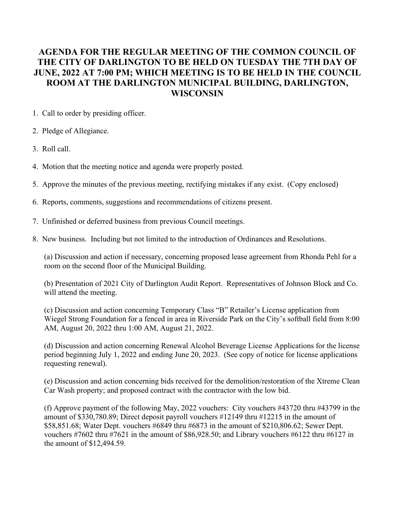## **AGENDA FOR THE REGULAR MEETING OF THE COMMON COUNCIL OF THE CITY OF DARLINGTON TO BE HELD ON TUESDAY THE 7TH DAY OF JUNE, 2022 AT 7:00 PM; WHICH MEETING IS TO BE HELD IN THE COUNCIL ROOM AT THE DARLINGTON MUNICIPAL BUILDING, DARLINGTON, WISCONSIN**

- 1. Call to order by presiding officer.
- 2. Pledge of Allegiance.
- 3. Roll call.
- 4. Motion that the meeting notice and agenda were properly posted.
- 5. Approve the minutes of the previous meeting, rectifying mistakes if any exist. (Copy enclosed)
- 6. Reports, comments, suggestions and recommendations of citizens present.
- 7. Unfinished or deferred business from previous Council meetings.
- 8. New business. Including but not limited to the introduction of Ordinances and Resolutions.

(a) Discussion and action if necessary, concerning proposed lease agreement from Rhonda Pehl for a room on the second floor of the Municipal Building.

(b) Presentation of 2021 City of Darlington Audit Report. Representatives of Johnson Block and Co. will attend the meeting.

(c) Discussion and action concerning Temporary Class "B" Retailer's License application from Wiegel Strong Foundation for a fenced in area in Riverside Park on the City's softball field from 8:00 AM, August 20, 2022 thru 1:00 AM, August 21, 2022.

(d) Discussion and action concerning Renewal Alcohol Beverage License Applications for the license period beginning July 1, 2022 and ending June 20, 2023. (See copy of notice for license applications requesting renewal).

(e) Discussion and action concerning bids received for the demolition/restoration of the Xtreme Clean Car Wash property; and proposed contract with the contractor with the low bid.

(f) Approve payment of the following May, 2022 vouchers: City vouchers #43720 thru #43799 in the amount of \$330,780.89; Direct deposit payroll vouchers #12149 thru #12215 in the amount of \$58,851.68; Water Dept. vouchers #6849 thru #6873 in the amount of \$210,806.62; Sewer Dept. vouchers #7602 thru #7621 in the amount of \$86,928.50; and Library vouchers #6122 thru #6127 in the amount of \$12,494.59.